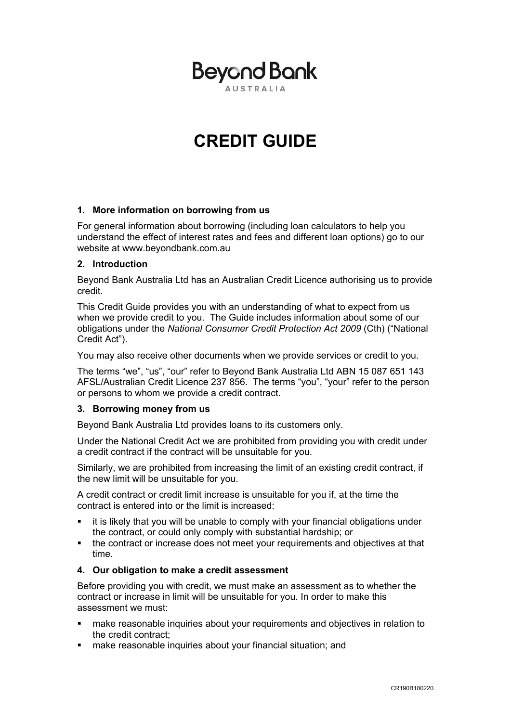

# **CREDIT GUIDE**

# **1. More information on borrowing from us**

For general information about borrowing (including loan calculators to help you understand the effect of interest rates and fees and different loan options) go to our website at www.beyondbank.com.au

# **2. Introduction**

Beyond Bank Australia Ltd has an Australian Credit Licence authorising us to provide credit.

This Credit Guide provides you with an understanding of what to expect from us when we provide credit to you. The Guide includes information about some of our obligations under the *National Consumer Credit Protection Act 2009* (Cth) ("National Credit Act").

You may also receive other documents when we provide services or credit to you.

The terms "we", "us", "our" refer to Beyond Bank Australia Ltd ABN 15 087 651 143 AFSL/Australian Credit Licence 237 856. The terms "you", "your" refer to the person or persons to whom we provide a credit contract.

# **3. Borrowing money from us**

Beyond Bank Australia Ltd provides loans to its customers only.

Under the National Credit Act we are prohibited from providing you with credit under a credit contract if the contract will be unsuitable for you.

Similarly, we are prohibited from increasing the limit of an existing credit contract, if the new limit will be unsuitable for you.

A credit contract or credit limit increase is unsuitable for you if, at the time the contract is entered into or the limit is increased:

- it is likely that you will be unable to comply with your financial obligations under the contract, or could only comply with substantial hardship; or
- the contract or increase does not meet your requirements and objectives at that time.

#### **4. Our obligation to make a credit assessment**

Before providing you with credit, we must make an assessment as to whether the contract or increase in limit will be unsuitable for you. In order to make this assessment we must:

- make reasonable inquiries about your requirements and objectives in relation to the credit contract;
- make reasonable inquiries about your financial situation; and